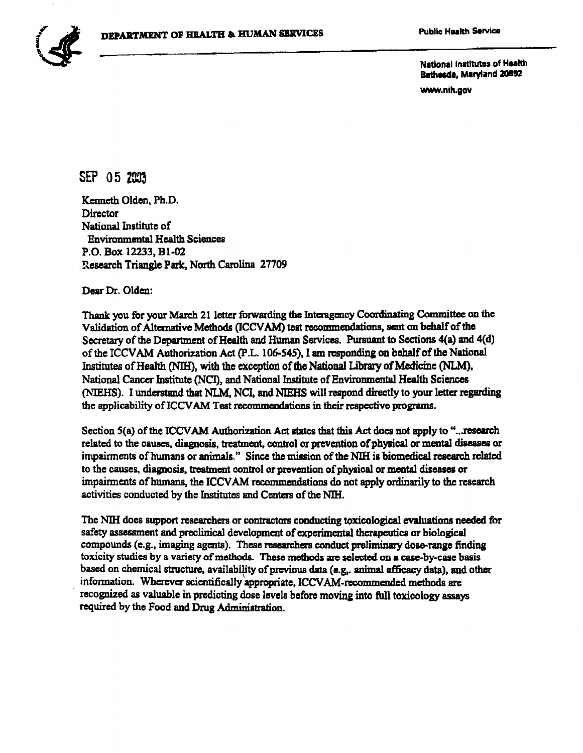

National Institutes of Health Bathesda, Maryland 20892

www.nih.gov

## SEP 05 2003

Kenneth Olden, Ph.D. Director National Institute of Environmental Health Sciences P.O. Box 12233, Bl-02 .'Research Triangle.Patk, North Carolina 27709

Dear Dr. Olden:

Thank you for your March 21 letter forwarding the Interagency Coordinating Committee on the Validation of Alternative Methods (ICCVAM) test recommendations, sent on behalf of the Secretary of the Department of Health and Human Services. Pursuant to Sections 4(a) and 4(d) of the ICCVAM Authorization Act (P.L. 106-545), I am responding on behalf of the National Institutes of Health (NIH), with the exception of the National Library of Medicine (NLM), National Cancer Institute {NCI), and National Institute of Environmental Health Sciences (NIEHS). I understand that NLM, NCI, and NIEHS will respond directly to your letter regarding the applicability of ICCVAM Test recommendations in their respective programs.

Section 5(a) of the ICCVAM Authorization Act states that this Act does not apply to "...research related to the causes, diagnosis, treatment, control or prevention of physical or mental diseases or impairments of humans or animals." Since the mission of the NIH is biomedical research related to the causes, diagnosis, treatment control or prevention of physical or mental diseases or impairments ofhumans, the ICCVAM recommendations do not apply ordinarily to the research activities conducted by the Institutes and Centers of the NIH.

The NIH does support researchers or contractors conducting toxicological evaluations needed for safety assessment and preclinical development of experimental therapeutics or biological compounds (e.g., imaging agents). These researchers conduct preliminary dose-range finding toxicity studies by a variety of methods. These methods are selected on a case-by-case basis based on chemical structure, availability of previous data (e.g.. animal efficacy data), and other information. Wherever scientifically appropriate, ICCVAM-recommended methods are recognized as valuable in predicting dose levels before moving into full toxicology assays required by the Food and Drug Administration.